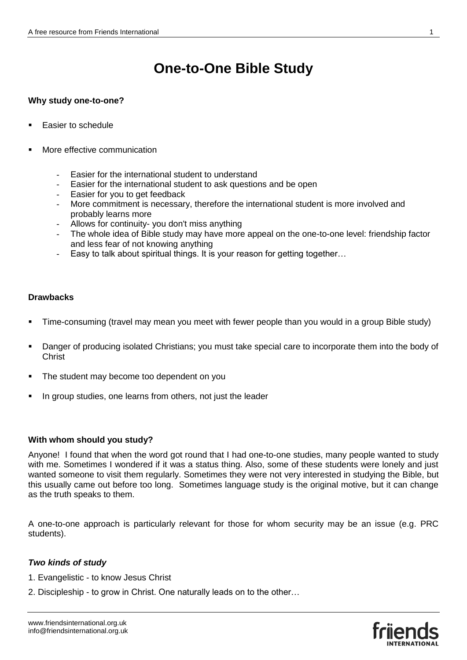# **One-to-One Bible Study**

#### **Why study one-to-one?**

- Easier to schedule
- More effective communication
	- Easier for the international student to understand
	- Easier for the international student to ask questions and be open
	- Easier for you to get feedback
	- More commitment is necessary, therefore the international student is more involved and probably learns more
	- Allows for continuity- you don't miss anything
	- The whole idea of Bible study may have more appeal on the one-to-one level: friendship factor and less fear of not knowing anything
	- Easy to talk about spiritual things. It is your reason for getting together...

#### **Drawbacks**

- Time-consuming (travel may mean you meet with fewer people than you would in a group Bible study)
- Danger of producing isolated Christians; you must take special care to incorporate them into the body of **Christ**
- The student may become too dependent on you
- In group studies, one learns from others, not just the leader

#### **With whom should you study?**

Anyone! I found that when the word got round that I had one-to-one studies, many people wanted to study with me. Sometimes I wondered if it was a status thing. Also, some of these students were lonely and just wanted someone to visit them regularly. Sometimes they were not very interested in studying the Bible, but this usually came out before too long. Sometimes language study is the original motive, but it can change as the truth speaks to them.

A one-to-one approach is particularly relevant for those for whom security may be an issue (e.g. PRC students).

# *Two kinds of study*

- 1. Evangelistic to know Jesus Christ
- 2. Discipleship to grow in Christ. One naturally leads on to the other…

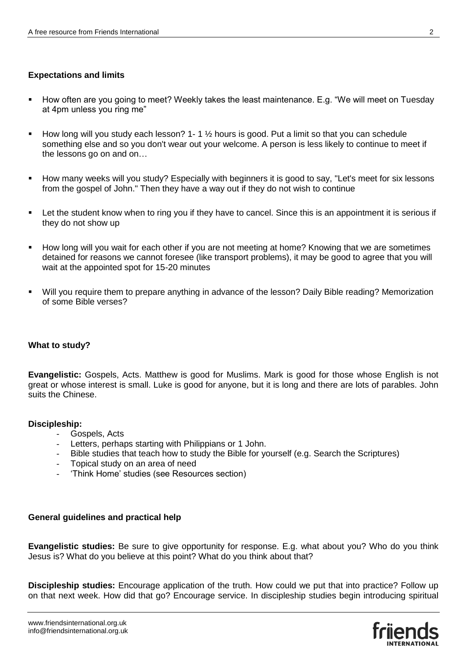# **Expectations and limits**

- How often are you going to meet? Weekly takes the least maintenance. E.g. "We will meet on Tuesday at 4pm unless you ring me"
- How long will you study each lesson? 1-1  $\frac{1}{2}$  hours is good. Put a limit so that you can schedule something else and so you don't wear out your welcome. A person is less likely to continue to meet if the lessons go on and on…
- How many weeks will you study? Especially with beginners it is good to say, "Let's meet for six lessons from the gospel of John." Then they have a way out if they do not wish to continue
- Let the student know when to ring you if they have to cancel. Since this is an appointment it is serious if they do not show up
- **How long will you wait for each other if you are not meeting at home? Knowing that we are sometimes** detained for reasons we cannot foresee (like transport problems), it may be good to agree that you will wait at the appointed spot for 15-20 minutes
- Will you require them to prepare anything in advance of the lesson? Daily Bible reading? Memorization of some Bible verses?

# **What to study?**

**Evangelistic:** Gospels, Acts. Matthew is good for Muslims. Mark is good for those whose English is not great or whose interest is small. Luke is good for anyone, but it is long and there are lots of parables. John suits the Chinese.

# **Discipleship:**

- Gospels, Acts<br>- Letters nerhal
- Letters, perhaps starting with Philippians or 1 John.
- Bible studies that teach how to study the Bible for yourself (e.g. Search the Scriptures)
- Topical study on an area of need
- 'Think Home' studies (see Resources section)

# **General guidelines and practical help**

**Evangelistic studies:** Be sure to give opportunity for response. E.g. what about you? Who do you think Jesus is? What do you believe at this point? What do you think about that?

**Discipleship studies:** Encourage application of the truth. How could we put that into practice? Follow up on that next week. How did that go? Encourage service. In discipleship studies begin introducing spiritual